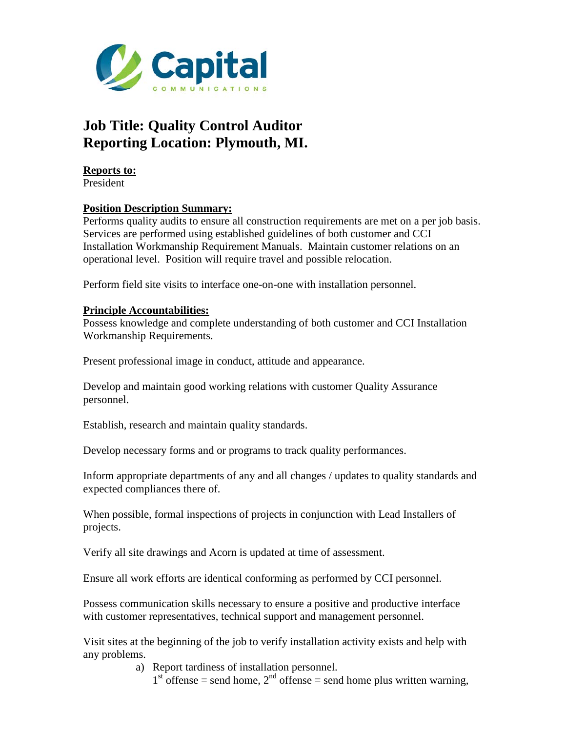

## **Job Title: Quality Control Auditor Reporting Location: Plymouth, MI.**

**Reports to:**  President

## **Position Description Summary:**

Performs quality audits to ensure all construction requirements are met on a per job basis. Services are performed using established guidelines of both customer and CCI Installation Workmanship Requirement Manuals. Maintain customer relations on an operational level. Position will require travel and possible relocation.

Perform field site visits to interface one-on-one with installation personnel.

## **Principle Accountabilities:**

Possess knowledge and complete understanding of both customer and CCI Installation Workmanship Requirements.

Present professional image in conduct, attitude and appearance.

Develop and maintain good working relations with customer Quality Assurance personnel.

Establish, research and maintain quality standards.

Develop necessary forms and or programs to track quality performances.

Inform appropriate departments of any and all changes / updates to quality standards and expected compliances there of.

When possible, formal inspections of projects in conjunction with Lead Installers of projects.

Verify all site drawings and Acorn is updated at time of assessment.

Ensure all work efforts are identical conforming as performed by CCI personnel.

Possess communication skills necessary to ensure a positive and productive interface with customer representatives, technical support and management personnel.

Visit sites at the beginning of the job to verify installation activity exists and help with any problems.

a) Report tardiness of installation personnel.

 $1<sup>st</sup>$  offense = send home,  $2<sup>nd</sup>$  offense = send home plus written warning,